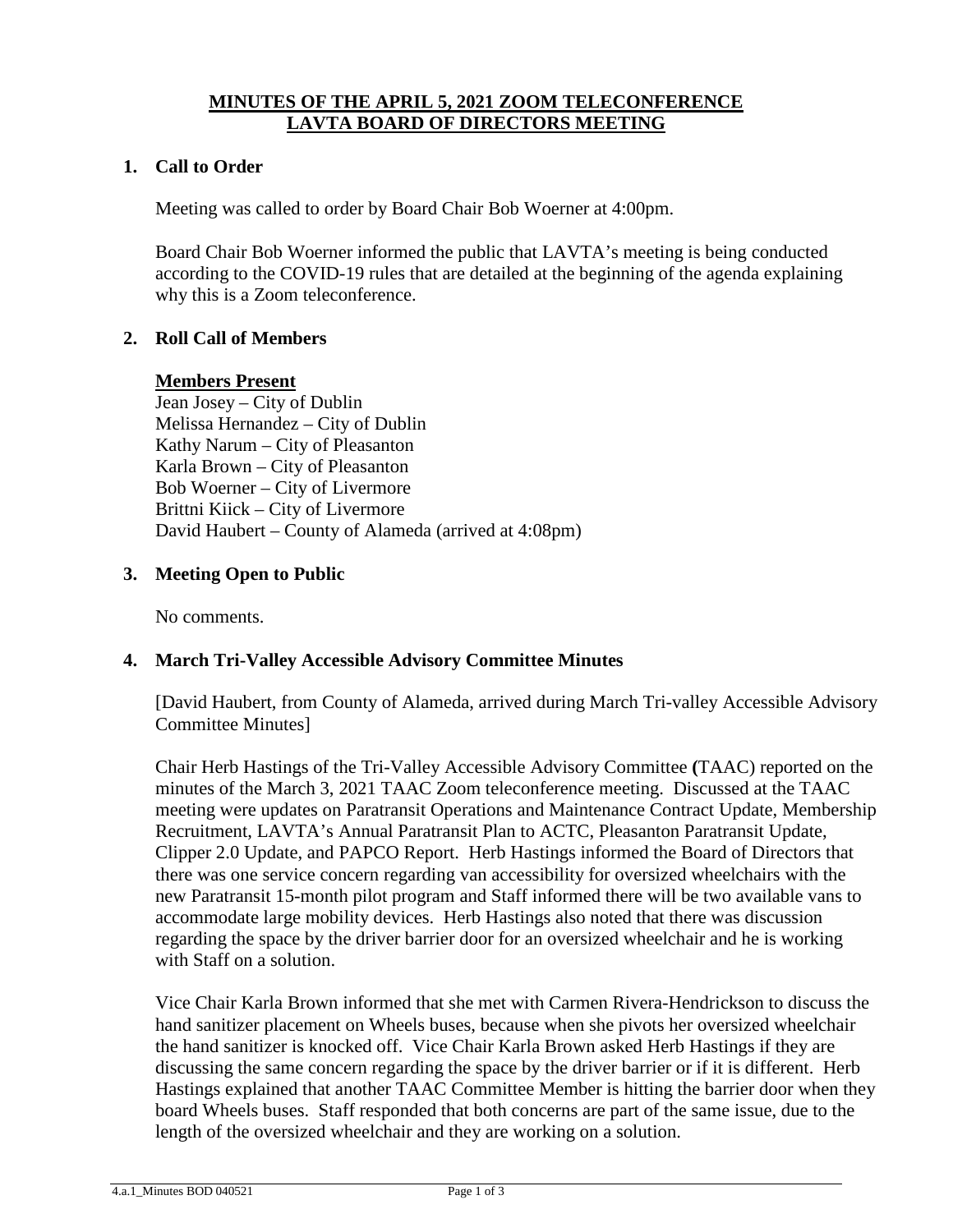# **MINUTES OF THE APRIL 5, 2021 ZOOM TELECONFERENCE LAVTA BOARD OF DIRECTORS MEETING**

#### **1. Call to Order**

Meeting was called to order by Board Chair Bob Woerner at 4:00pm.

Board Chair Bob Woerner informed the public that LAVTA's meeting is being conducted according to the COVID-19 rules that are detailed at the beginning of the agenda explaining why this is a Zoom teleconference.

## **2. Roll Call of Members**

#### **Members Present**

Jean Josey – City of Dublin Melissa Hernandez – City of Dublin Kathy Narum – City of Pleasanton Karla Brown – City of Pleasanton Bob Woerner – City of Livermore Brittni Kiick – City of Livermore David Haubert – County of Alameda (arrived at 4:08pm)

## **3. Meeting Open to Public**

No comments.

#### **4. March Tri-Valley Accessible Advisory Committee Minutes**

[David Haubert, from County of Alameda, arrived during March Tri-valley Accessible Advisory Committee Minutes]

Chair Herb Hastings of the Tri-Valley Accessible Advisory Committee **(**TAAC) reported on the minutes of the March 3, 2021 TAAC Zoom teleconference meeting. Discussed at the TAAC meeting were updates on Paratransit Operations and Maintenance Contract Update, Membership Recruitment, LAVTA's Annual Paratransit Plan to ACTC, Pleasanton Paratransit Update, Clipper 2.0 Update, and PAPCO Report. Herb Hastings informed the Board of Directors that there was one service concern regarding van accessibility for oversized wheelchairs with the new Paratransit 15-month pilot program and Staff informed there will be two available vans to accommodate large mobility devices. Herb Hastings also noted that there was discussion regarding the space by the driver barrier door for an oversized wheelchair and he is working with Staff on a solution.

Vice Chair Karla Brown informed that she met with Carmen Rivera-Hendrickson to discuss the hand sanitizer placement on Wheels buses, because when she pivots her oversized wheelchair the hand sanitizer is knocked off. Vice Chair Karla Brown asked Herb Hastings if they are discussing the same concern regarding the space by the driver barrier or if it is different. Herb Hastings explained that another TAAC Committee Member is hitting the barrier door when they board Wheels buses. Staff responded that both concerns are part of the same issue, due to the length of the oversized wheelchair and they are working on a solution.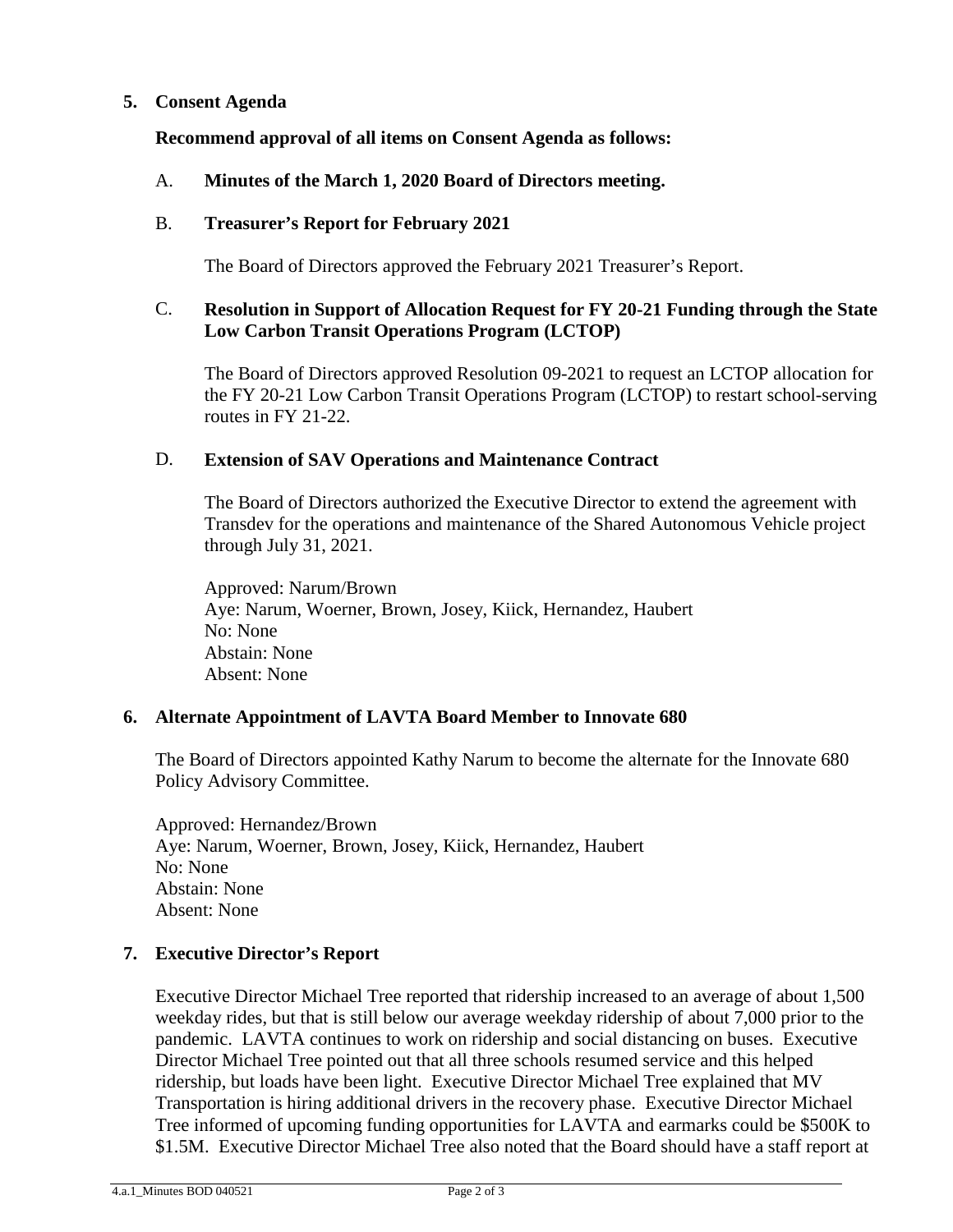# **5. Consent Agenda**

**Recommend approval of all items on Consent Agenda as follows:**

## A. **Minutes of the March 1, 2020 Board of Directors meeting.**

#### B. **Treasurer's Report for February 2021**

The Board of Directors approved the February 2021 Treasurer's Report.

# C. **Resolution in Support of Allocation Request for FY 20-21 Funding through the State Low Carbon Transit Operations Program (LCTOP)**

The Board of Directors approved Resolution 09-2021 to request an LCTOP allocation for the FY 20-21 Low Carbon Transit Operations Program (LCTOP) to restart school-serving routes in FY 21-22.

## D. **Extension of SAV Operations and Maintenance Contract**

The Board of Directors authorized the Executive Director to extend the agreement with Transdev for the operations and maintenance of the Shared Autonomous Vehicle project through July 31, 2021.

Approved: Narum/Brown Aye: Narum, Woerner, Brown, Josey, Kiick, Hernandez, Haubert No: None Abstain: None Absent: None

#### **6. Alternate Appointment of LAVTA Board Member to Innovate 680**

The Board of Directors appointed Kathy Narum to become the alternate for the Innovate 680 Policy Advisory Committee.

Approved: Hernandez/Brown Aye: Narum, Woerner, Brown, Josey, Kiick, Hernandez, Haubert No: None Abstain: None Absent: None

# **7. Executive Director's Report**

Executive Director Michael Tree reported that ridership increased to an average of about 1,500 weekday rides, but that is still below our average weekday ridership of about 7,000 prior to the pandemic. LAVTA continues to work on ridership and social distancing on buses. Executive Director Michael Tree pointed out that all three schools resumed service and this helped ridership, but loads have been light. Executive Director Michael Tree explained that MV Transportation is hiring additional drivers in the recovery phase. Executive Director Michael Tree informed of upcoming funding opportunities for LAVTA and earmarks could be \$500K to \$1.5M. Executive Director Michael Tree also noted that the Board should have a staff report at